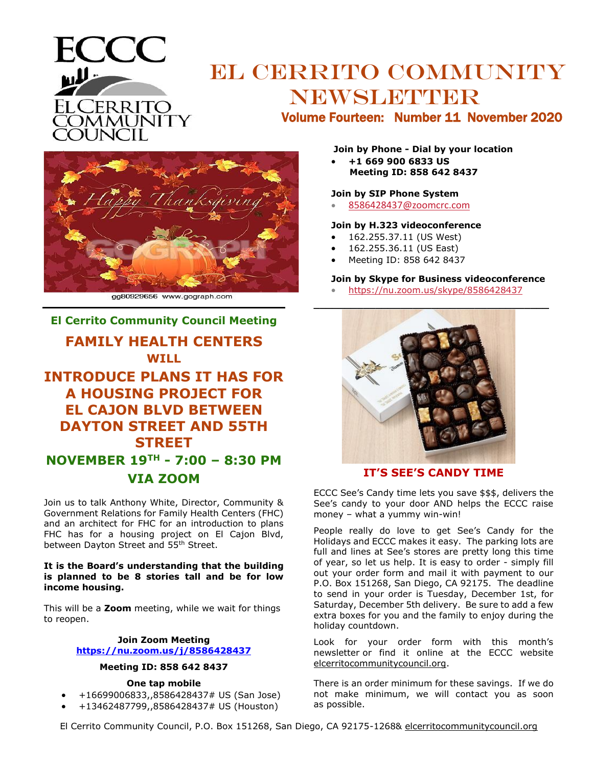

# EL CERRITO COMMUNITY NEWSLETTER

Volume Fourteen: Number 11 November 2020



gg80929656 www.gograph.com

# **El Cerrito Community Council Meeting**

# **FAMILY HEALTH CENTERS WILL**

# **INTRODUCE PLANS IT HAS FOR A HOUSING PROJECT FOR EL CAJON BLVD BETWEEN DAYTON STREET AND 55TH STREET NOVEMBER 19TH - 7:00 – 8:30 PM VIA ZOOM**

Join us to talk Anthony White, Director, Community & Government Relations for Family Health Centers (FHC) and an architect for FHC for an introduction to plans FHC has for a housing project on El Cajon Blvd, between Dayton Street and 55<sup>th</sup> Street.

#### **It is the Board's understanding that the building is planned to be 8 stories tall and be for low income housing.**

This will be a **Zoom** meeting, while we wait for things to reopen.

#### **Join Zoom Meeting [https://nu.zoom.us/j/8586428437](https://nu.zoom.us/j/91857368679)**

#### **Meeting ID: 858 642 8437**

#### **One tap mobile**

- +16699006833,,8586428437# US (San Jose)
- +13462487799,,8586428437# US (Houston)

#### **Join by Phone - Dial by your location**

• **+1 669 900 6833 US Meeting ID: 858 642 8437**

#### **Join by SIP Phone System**

• [8586428437@zoomcrc.com](mailto:7293715780@zoomcrc.com)

#### **Join by H.323 videoconference**

- 162.255.37.11 (US West)
- 162.255.36.11 (US East)
- Meeting ID: 858 642 8437

#### **Join by Skype for Business videoconference**

• [https://nu.zoom.us/skype/8586428437](https://nu.zoom.us/skype/7293715780)



### **IT'S SEE'S CANDY TIME**

ECCC See's Candy time lets you save \$\$\$, delivers the See's candy to your door AND helps the ECCC raise money – what a yummy win-win!

People really do love to get See's Candy for the Holidays and ECCC makes it easy. The parking lots are full and lines at See's stores are pretty long this time of year, so let us help. It is easy to order - simply fill out your order form and mail it with payment to our P.O. Box 151268, San Diego, CA 92175. The deadline to send in your order is Tuesday, December 1st, for Saturday, December 5th delivery. Be sure to add a few extra boxes for you and the family to enjoy during the holiday countdown.

Look for your order form with this month's newsletter or find it online at the ECCC website elcerritocommunitycouncil.org.

There is an order minimum for these savings. If we do not make minimum, we will contact you as soon as possible.

El Cerrito Community Council, P.O. Box 151268, San Diego, CA 92175-1268& elcerritocommunitycouncil.org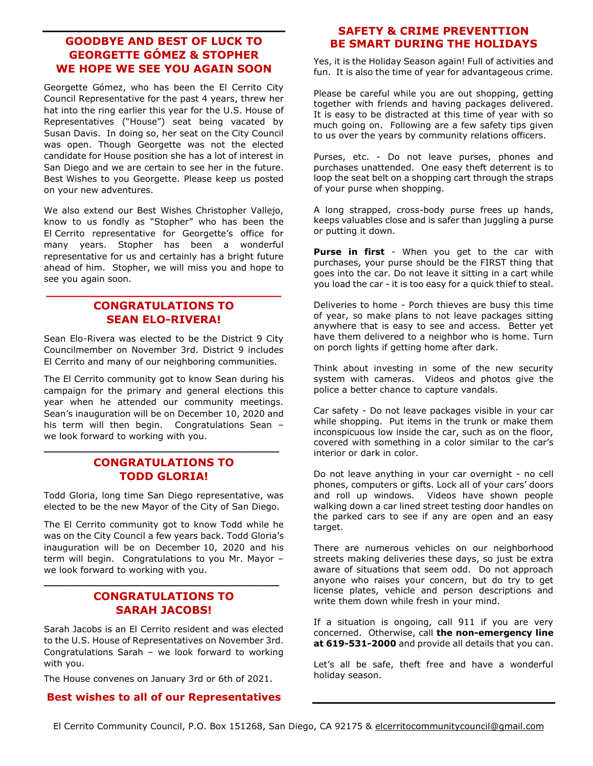## **GOODBYE AND BEST OF LUCK TO GEORGETTE GÓMEZ & STOPHER WE HOPE WE SEE YOU AGAIN SOON**

Georgette Gómez, who has been the El Cerrito City Council Representative for the past 4 years, threw her hat into the ring earlier this year for the U.S. House of Representatives ("House") seat being vacated by Susan Davis. In doing so, her seat on the City Council was open. Though Georgette was not the elected candidate for House position she has a lot of interest in San Diego and we are certain to see her in the future. Best Wishes to you Georgette. Please keep us posted on your new adventures.

We also extend our Best Wishes Christopher Vallejo, know to us fondly as "Stopher" who has been the El Cerrito representative for Georgette's office for many years. Stopher has been a wonderful representative for us and certainly has a bright future ahead of him. Stopher, we will miss you and hope to see you again soon.

## **CONGRATULATIONS TO SEAN ELO-RIVERA!**

**\_\_\_\_\_\_\_\_\_\_\_\_\_\_\_\_\_\_\_\_\_\_\_\_\_\_\_\_\_\_\_**

Sean Elo-Rivera was elected to be the District 9 City Councilmember on November 3rd. District 9 includes El Cerrito and many of our neighboring communities.

The El Cerrito community got to know Sean during his campaign for the primary and general elections this year when he attended our community meetings. Sean's inauguration will be on December 10, 2020 and his term will then begin. Congratulations Sean – we look forward to working with you.

# **CONGRATULATIONS TO TODD GLORIA!**

**\_\_\_\_\_\_\_\_\_\_\_\_\_\_\_\_\_\_\_\_\_\_\_\_\_\_\_\_\_\_\_\_\_\_\_\_\_\_**

Todd Gloria, long time San Diego representative, was elected to be the new Mayor of the City of San Diego.

The El Cerrito community got to know Todd while he was on the City Council a few years back. Todd Gloria's inauguration will be on December 10, 2020 and his term will begin. Congratulations to you Mr. Mayor – we look forward to working with you.

## **CONGRATULATIONS TO SARAH JACOBS!**

**\_\_\_\_\_\_\_\_\_\_\_\_\_\_\_\_\_\_\_\_\_\_\_\_\_\_\_\_\_\_\_\_\_\_\_\_\_\_**

Sarah Jacobs is an El Cerrito resident and was elected to the U.S. House of Representatives on November 3rd. Congratulations Sarah – we look forward to working with you.

The House convenes on January 3rd or 6th of 2021.

#### **Best wishes to all of our Representatives**

### **SAFETY & CRIME PREVENTTION BE SMART DURING THE HOLIDAYS**

Yes, it is the Holiday Season again! Full of activities and fun. It is also the time of year for advantageous crime.

Please be careful while you are out shopping, getting together with friends and having packages delivered. It is easy to be distracted at this time of year with so much going on. Following are a few safety tips given to us over the years by community relations officers.

Purses, etc. - Do not leave purses, phones and purchases unattended. One easy theft deterrent is to loop the seat belt on a shopping cart through the straps of your purse when shopping.

A long strapped, cross-body purse frees up hands, keeps valuables close and is safer than juggling a purse or putting it down.

**Purse in first** - When you get to the car with purchases, your purse should be the FIRST thing that goes into the car. Do not leave it sitting in a cart while you load the car - it is too easy for a quick thief to steal.

Deliveries to home - Porch thieves are busy this time of year, so make plans to not leave packages sitting anywhere that is easy to see and access. Better yet have them delivered to a neighbor who is home. Turn on porch lights if getting home after dark.

Think about investing in some of the new security system with cameras. Videos and photos give the police a better chance to capture vandals.

Car safety - Do not leave packages visible in your car while shopping. Put items in the trunk or make them inconspicuous low inside the car, such as on the floor, covered with something in a color similar to the car's interior or dark in color.

Do not leave anything in your car overnight - no cell phones, computers or gifts. Lock all of your cars' doors and roll up windows. Videos have shown people walking down a car lined street testing door handles on the parked cars to see if any are open and an easy target.

There are numerous vehicles on our neighborhood streets making deliveries these days, so just be extra aware of situations that seem odd. Do not approach anyone who raises your concern, but do try to get license plates, vehicle and person descriptions and write them down while fresh in your mind.

If a situation is ongoing, call 911 if you are very concerned. Otherwise, call **the non-emergency line at 619-531-2000** and provide all details that you can.

Let's all be safe, theft free and have a wonderful holiday season.

El Cerrito Community Council, P.O. Box 151268, San Diego, CA 92175 & elcerritocommunitycouncil@gmail.com